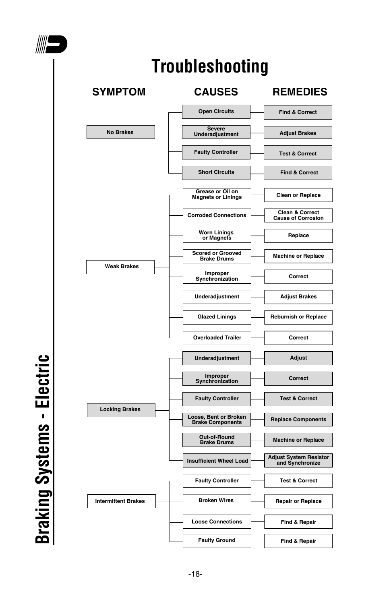



**Braking Systems - Electric Braking Systems - Electric**